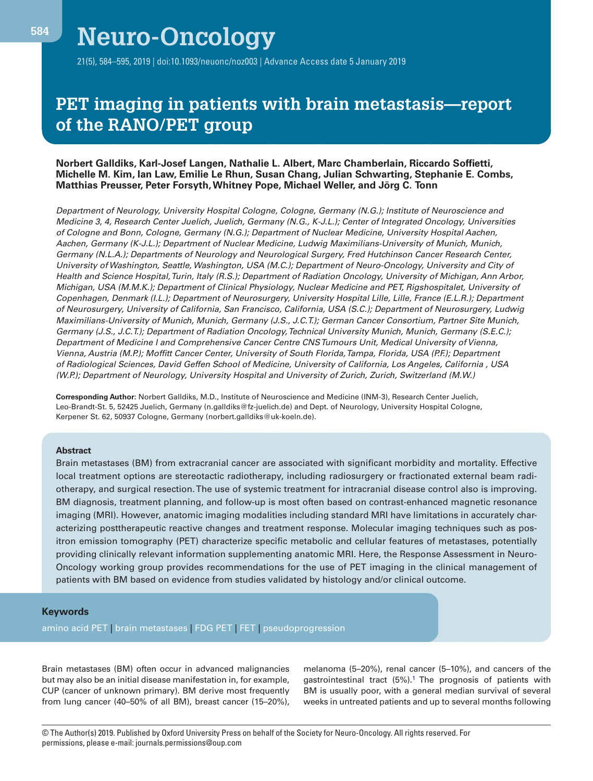# **PET imaging in patients with brain metastasis—report of the RANO/PET group**

#### **Norbert Galldiks, Karl-Josef Langen, Nathalie L. Albert, Marc Chamberlain, Riccardo Soffietti, Michelle M. Kim, Ian Law, Emilie Le Rhun, Susan Chang, Julian Schwarting, Stephanie E. Combs, Matthias Preusser, Peter Forsyth, Whitney Pope, Michael Weller, and Jörg C. Tonn**

Department of Neurology, University Hospital Cologne, Cologne, Germany (N.G.); Institute of Neuroscience and Medicine 3, 4, Research Center Juelich, Juelich, Germany (N.G., K-J.L.); Center of Integrated Oncology, Universities of Cologne and Bonn, Cologne, Germany (N.G.); Department of Nuclear Medicine, University Hospital Aachen, Aachen, Germany (K-J.L.); Department of Nuclear Medicine, Ludwig Maximilians-University of Munich, Munich, Germany (N.L.A.); Departments of Neurology and Neurological Surgery, Fred Hutchinson Cancer Research Center, University of Washington, Seattle, Washington, USA (M.C.); Department of Neuro-Oncology, University and City of Health and Science Hospital, Turin, Italy (R.S.); Department of Radiation Oncology, University of Michigan, Ann Arbor, Michigan, USA (M.M.K.); Department of Clinical Physiology, Nuclear Medicine and PET, Rigshospitalet, University of Copenhagen, Denmark (I.L.); Department of Neurosurgery, University Hospital Lille, Lille, France (E.L.R.); Department of Neurosurgery, University of California, San Francisco, California, USA (S.C.); Department of Neurosurgery, Ludwig Maximilians-University of Munich, Munich, Germany (J.S., J.C.T.); German Cancer Consortium, Partner Site Munich, Germany (J.S., J.C.T.); Department of Radiation Oncology, Technical University Munich, Munich, Germany (S.E.C.); Department of Medicine I and Comprehensive Cancer Centre CNS Tumours Unit, Medical University of Vienna, Vienna, Austria (M.P.); Moffitt Cancer Center, University of South Florida, Tampa, Florida, USA (P.F.); Department of Radiological Sciences, David Geffen School of Medicine, University of California, Los Angeles, California , USA (W.P.); Department of Neurology, University Hospital and University of Zurich, Zurich, Switzerland (M.W.)

**Corresponding Author:** Norbert Galldiks, M.D., Institute of Neuroscience and Medicine (INM-3), Research Center Juelich, Leo-Brandt-St. 5, 52425 Juelich, Germany (n.galldiks@fz-juelich.de) and Dept. of Neurology, University Hospital Cologne, Kerpener St. 62, 50937 Cologne, Germany (norbert.galldiks@uk-koeln.de).

#### **Abstract**

Brain metastases (BM) from extracranial cancer are associated with significant morbidity and mortality. Effective local treatment options are stereotactic radiotherapy, including radiosurgery or fractionated external beam radiotherapy, and surgical resection. The use of systemic treatment for intracranial disease control also is improving. BM diagnosis, treatment planning, and follow-up is most often based on contrast-enhanced magnetic resonance imaging (MRI). However, anatomic imaging modalities including standard MRI have limitations in accurately characterizing posttherapeutic reactive changes and treatment response. Molecular imaging techniques such as positron emission tomography (PET) characterize specific metabolic and cellular features of metastases, potentially providing clinically relevant information supplementing anatomic MRI. Here, the Response Assessment in Neuro-Oncology working group provides recommendations for the use of PET imaging in the clinical management of patients with BM based on evidence from studies validated by histology and/or clinical outcome.

#### **Keywords**

amino acid PET | brain metastases | FDG PET | FET | pseudoprogression

Brain metastases (BM) often occur in advanced malignancies but may also be an initial disease manifestation in, for example, CUP (cancer of unknown primary). BM derive most frequently from lung cancer (40–50% of all BM), breast cancer (15–20%),

melanoma (5–20%), renal cancer (5–10%), and cancers of the gastrointestinal tract (5%).<sup>1</sup> The prognosis of patients with BM is usually poor, with a general median survival of several weeks in untreated patients and up to several months following

© The Author(s) 2019. Published by Oxford University Press on behalf of the Society for Neuro-Oncology. All rights reserved. For permissions, please e-mail: journals.permissions@oup.com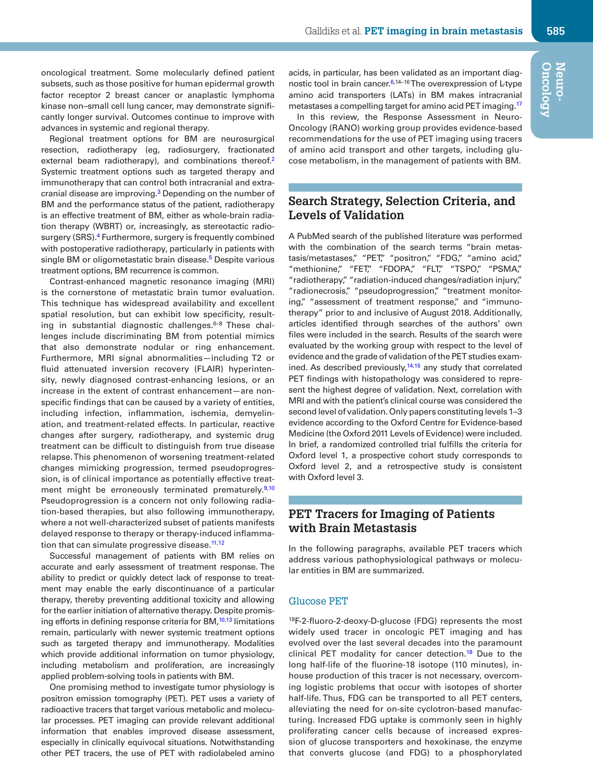oncological treatment. Some molecularly defined patient subsets, such as those positive for human epidermal growth factor receptor 2 breast cancer or anaplastic lymphoma kinase non–small cell lung cancer, may demonstrate significantly longer survival. Outcomes continue to improve with advances in systemic and regional therapy.

Regional treatment options for BM are neurosurgical resection, radiotherapy (eg, radiosurgery, fractionated external beam radiotherapy), and combinations thereof.<sup>2</sup> Systemic treatment options such as targeted therapy and immunotherapy that can control both intracranial and extracranial disease are improving.<sup>3</sup> Depending on the number of BM and the performance status of the patient, radiotherapy is an effective treatment of BM, either as whole-brain radiation therapy (WBRT) or, increasingly, as stereotactic radiosurgery (SRS).<sup>4</sup> Furthermore, surgery is frequently combined with postoperative radiotherapy, particularly in patients with single BM or oligometastatic brain disease.<sup>5</sup> Despite various treatment options, BM recurrence is common.

Contrast-enhanced magnetic resonance imaging (MRI) is the cornerstone of metastatic brain tumor evaluation. This technique has widespread availability and excellent spatial resolution, but can exhibit low specificity, resulting in substantial diagnostic challenges. $6-8$  These challenges include discriminating BM from potential mimics that also demonstrate nodular or ring enhancement. Furthermore, MRI signal abnormalities—including T2 or fluid attenuated inversion recovery (FLAIR) hyperintensity, newly diagnosed contrast-enhancing lesions, or an increase in the extent of contrast enhancement—are nonspecific findings that can be caused by a variety of entities, including infection, inflammation, ischemia, demyelination, and treatment-related effects. In particular, reactive changes after surgery, radiotherapy, and systemic drug treatment can be difficult to distinguish from true disease relapse. This phenomenon of worsening treatment-related changes mimicking progression, termed pseudoprogression, is of clinical importance as potentially effective treatment might be erroneously terminated prematurely.<sup>9,10</sup> Pseudoprogression is a concern not only following radiation-based therapies, but also following immunotherapy, where a not well-characterized subset of patients manifests delayed response to therapy or therapy-induced inflammation that can simulate progressive disease.<sup>11,12</sup>

Successful management of patients with BM relies on accurate and early assessment of treatment response. The ability to predict or quickly detect lack of response to treatment may enable the early discontinuance of a particular therapy, thereby preventing additional toxicity and allowing for the earlier initiation of alternative therapy. Despite promising efforts in defining response criteria for BM, $10,13$  limitations remain, particularly with newer systemic treatment options such as targeted therapy and immunotherapy. Modalities which provide additional information on tumor physiology, including metabolism and proliferation, are increasingly applied problem-solving tools in patients with BM.

One promising method to investigate tumor physiology is positron emission tomography (PET). PET uses a variety of radioactive tracers that target various metabolic and molecular processes. PET imaging can provide relevant additional information that enables improved disease assessment, especially in clinically equivocal situations. Notwithstanding other PET tracers, the use of PET with radiolabeled amino acids, in particular, has been validated as an important diagnostic tool in brain cancer.<sup>6,14-16</sup> The overexpression of L-type amino acid transporters (LATs) in BM makes intracranial metastases a compelling target for amino acid PET imaging.<sup>17</sup>

In this review, the Response Assessment in Neuro-Oncology (RANO) working group provides evidence-based recommendations for the use of PET imaging using tracers of amino acid transport and other targets, including glucose metabolism, in the management of patients with BM.

# **Search Strategy, Selection Criteria, and Levels of Validation**

A PubMed search of the published literature was performed with the combination of the search terms "brain metastasis/metastases," "PET," "positron," "FDG," "amino acid," "methionine," "FET," "FDOPA," "FLT," "TSPO," "PSMA," "radiotherapy," "radiation-induced changes/radiation injury," "radionecrosis," "pseudoprogression," "treatment monitoring," "assessment of treatment response," and "immunotherapy" prior to and inclusive of August 2018. Additionally, articles identified through searches of the authors' own files were included in the search. Results of the search were evaluated by the working group with respect to the level of evidence and the grade of validation of the PET studies examined. As described previously, $14,15$  any study that correlated PET findings with histopathology was considered to represent the highest degree of validation. Next, correlation with MRI and with the patient's clinical course was considered the second level of validation. Only papers constituting levels 1–3 evidence according to the Oxford Centre for Evidence-based Medicine (the Oxford 2011 Levels of Evidence) were included. In brief, a randomized controlled trial fulfills the criteria for Oxford level 1, a prospective cohort study corresponds to Oxford level 2, and a retrospective study is consistent with Oxford level 3.

# **PET Tracers for Imaging of Patients with Brain Metastasis**

In the following paragraphs, available PET tracers which address various pathophysiological pathways or molecular entities in BM are summarized.

#### Glucose PET

<sup>18</sup>F-2-fluoro-2-deoxy-D-glucose (FDG) represents the most widely used tracer in oncologic PET imaging and has evolved over the last several decades into the paramount clinical PET modality for cancer detection.<sup>18</sup> Due to the long half-life of the fluorine-18 isotope (110 minutes), inhouse production of this tracer is not necessary, overcoming logistic problems that occur with isotopes of shorter half-life. Thus, FDG can be transported to all PET centers, alleviating the need for on-site cyclotron-based manufacturing. Increased FDG uptake is commonly seen in highly proliferating cancer cells because of increased expression of glucose transporters and hexokinase, the enzyme that converts glucose (and FDG) to a phosphorylated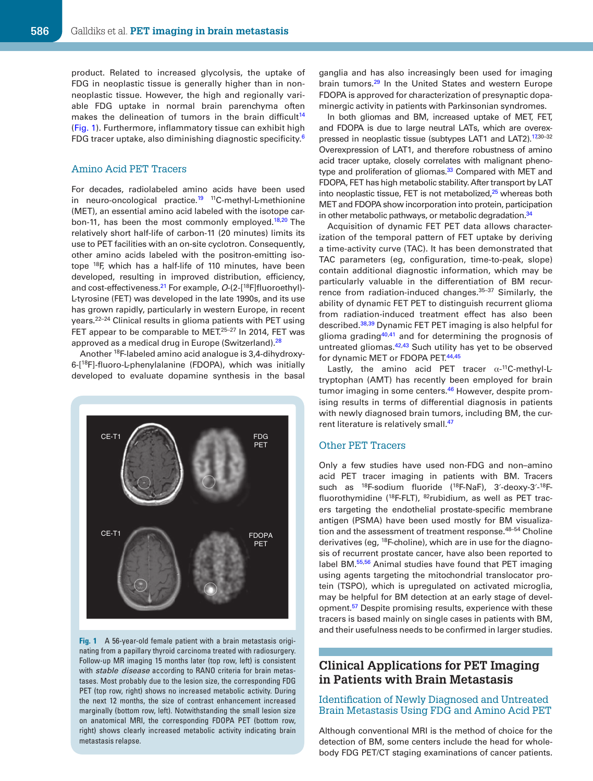product. Related to increased glycolysis, the uptake of FDG in neoplastic tissue is generally higher than in nonneoplastic tissue. However, the high and regionally variable FDG uptake in normal brain parenchyma often makes the delineation of tumors in the brain difficult<sup>14</sup> (Fig. 1). Furthermore, inflammatory tissue can exhibit high FDG tracer uptake, also diminishing diagnostic specificity.<sup>6</sup>

#### Amino Acid PET Tracers

For decades, radiolabeled amino acids have been used in neuro-oncological practice.<sup>19</sup> <sup>11</sup>C-methyl-L-methionine (MET), an essential amino acid labeled with the isotope carbon-11, has been the most commonly employed.<sup>18,20</sup> The relatively short half-life of carbon-11 (20 minutes) limits its use to PET facilities with an on-site cyclotron. Consequently, other amino acids labeled with the positron-emitting isotope <sup>18</sup>F, which has a half-life of 110 minutes, have been developed, resulting in improved distribution, efficiency, and cost-effectiveness.<sup>21</sup> For example,  $O-(2-[18F]$ fluoroethyl)-L-tyrosine (FET) was developed in the late 1990s, and its use has grown rapidly, particularly in western Europe, in recent years.22–24 Clinical results in glioma patients with PET using FET appear to be comparable to MET.<sup>25-27</sup> In 2014, FET was approved as a medical drug in Europe (Switzerland).<sup>28</sup>

Another 18F-labeled amino acid analogue is 3,4-dihydroxy-6-[<sup>18</sup>F]-fluoro-L-phenylalanine (FDOPA), which was initially developed to evaluate dopamine synthesis in the basal



**Fig. 1** A 56-year-old female patient with a brain metastasis originating from a papillary thyroid carcinoma treated with radiosurgery. Follow-up MR imaging 15 months later (top row, left) is consistent with stable disease according to RANO criteria for brain metastases. Most probably due to the lesion size, the corresponding FDG PET (top row, right) shows no increased metabolic activity. During the next 12 months, the size of contrast enhancement increased marginally (bottom row, left). Notwithstanding the small lesion size on anatomical MRI, the corresponding FDOPA PET (bottom row, right) shows clearly increased metabolic activity indicating brain metastasis relapse.

ganglia and has also increasingly been used for imaging brain tumors.<sup>29</sup> In the United States and western Europe FDOPA is approved for characterization of presynaptic dopaminergic activity in patients with Parkinsonian syndromes.

In both gliomas and BM, increased uptake of MET, FET, and FDOPA is due to large neutral LATs, which are overexpressed in neoplastic tissue (subtypes LAT1 and LAT2).<sup>17,30-32</sup> Overexpression of LAT1, and therefore robustness of amino acid tracer uptake, closely correlates with malignant phenotype and proliferation of gliomas.<sup>33</sup> Compared with MET and FDOPA, FET has high metabolic stability. After transport by LAT into neoplastic tissue, FET is not metabolized, $25$  whereas both MET and FDOPA show incorporation into protein, participation in other metabolic pathways, or metabolic degradation.<sup>34</sup>

Acquisition of dynamic FET PET data allows characterization of the temporal pattern of FET uptake by deriving a time-activity curve (TAC). It has been demonstrated that TAC parameters (eg, configuration, time-to-peak, slope) contain additional diagnostic information, which may be particularly valuable in the differentiation of BM recurrence from radiation-induced changes.<sup>35-37</sup> Similarly, the ability of dynamic FET PET to distinguish recurrent glioma from radiation-induced treatment effect has also been described.38,39 Dynamic FET PET imaging is also helpful for glioma grading<sup>40,41</sup> and for determining the prognosis of untreated gliomas.42,43 Such utility has yet to be observed for dynamic MET or FDOPA PET.<sup>44,45</sup>

Lastly, the amino acid PET tracer  $\alpha$ -<sup>11</sup>C-methyl-Ltryptophan (AMT) has recently been employed for brain tumor imaging in some centers.<sup>46</sup> However, despite promising results in terms of differential diagnosis in patients with newly diagnosed brain tumors, including BM, the current literature is relatively small.<sup>47</sup>

#### Other PET Tracers

Only a few studies have used non-FDG and non–amino acid PET tracer imaging in patients with BM. Tracers such as <sup>18</sup>F-sodium fluoride (<sup>18</sup>F-NaF), 3'-deoxy-3'-<sup>18</sup>Ffluorothymidine (18F-FLT), 82rubidium, as well as PET tracers targeting the endothelial prostate-specific membrane antigen (PSMA) have been used mostly for BM visualization and the assessment of treatment response.<sup>48-54</sup> Choline derivatives (eg, <sup>18</sup>F-choline), which are in use for the diagnosis of recurrent prostate cancer, have also been reported to label BM.55,56 Animal studies have found that PET imaging using agents targeting the mitochondrial translocator protein (TSPO), which is upregulated on activated microglia, may be helpful for BM detection at an early stage of development.<sup>57</sup> Despite promising results, experience with these tracers is based mainly on single cases in patients with BM, and their usefulness needs to be confirmed in larger studies.

### **Clinical Applications for PET Imaging in Patients with Brain Metastasis**

#### Identification of Newly Diagnosed and Untreated Brain Metastasis Using FDG and Amino Acid PET

Although conventional MRI is the method of choice for the detection of BM, some centers include the head for wholebody FDG PET/CT staging examinations of cancer patients.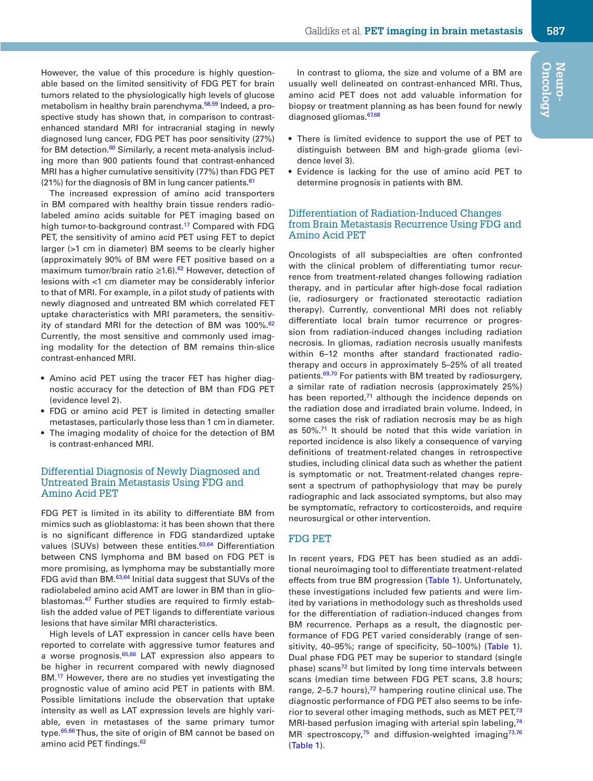However, the value of this procedure is highly questionable based on the limited sensitivity of FDG PET for brain tumors related to the physiologically high levels of glucose metabolism in healthy brain parenchyma.<sup>58,59</sup> Indeed, a prospective study has shown that, in comparison to contrastenhanced standard MRI for intracranial staging in newly diagnosed lung cancer, FDG PET has poor sensitivity (27%) for BM detection.<sup>60</sup> Similarly, a recent meta-analysis including more than 900 patients found that contrast-enhanced MRI has a higher cumulative sensitivity (77%) than FDG PET  $(21%)$  for the diagnosis of BM in lung cancer patients.<sup>61</sup>

The increased expression of amino acid transporters in BM compared with healthy brain tissue renders radiolabeled amino acids suitable for PET imaging based on high tumor-to-background contrast.<sup>17</sup> Compared with FDG PET, the sensitivity of amino acid PET using FET to depict larger (>1 cm in diameter) BM seems to be clearly higher (approximately 90% of BM were FET positive based on a maximum tumor/brain ratio ≥1.6).<sup>62</sup> However, detection of lesions with <1 cm diameter may be considerably inferior to that of MRI. For example, in a pilot study of patients with newly diagnosed and untreated BM which correlated FET uptake characteristics with MRI parameters, the sensitivity of standard MRI for the detection of BM was  $100\%$ .<sup>62</sup> Currently, the most sensitive and commonly used imaging modality for the detection of BM remains thin-slice contrast-enhanced MRI.

- Amino acid PET using the tracer FET has higher diagnostic accuracy for the detection of BM than FDG PET (evidence level 2).
- FDG or amino acid PET is limited in detecting smaller metastases, particularly those less than 1 cm in diameter.
- The imaging modality of choice for the detection of BM is contrast-enhanced MRI.

#### Differential Diagnosis of Newly Diagnosed and Untreated Brain Metastasis Using FDG and Amino Acid PET

FDG PET is limited in its ability to differentiate BM from mimics such as glioblastoma: it has been shown that there is no significant difference in FDG standardized uptake values (SUVs) between these entities.<sup>63,64</sup> Differentiation between CNS lymphoma and BM based on FDG PET is more promising, as lymphoma may be substantially more FDG avid than BM.<sup>63,64</sup> Initial data suggest that SUVs of the radiolabeled amino acid AMT are lower in BM than in glioblastomas.<sup>47</sup> Further studies are required to firmly establish the added value of PET ligands to differentiate various lesions that have similar MRI characteristics.

High levels of LAT expression in cancer cells have been reported to correlate with aggressive tumor features and a worse prognosis.<sup>65,66</sup> LAT expression also appears to be higher in recurrent compared with newly diagnosed BM.<sup>17</sup> However, there are no studies yet investigating the prognostic value of amino acid PET in patients with BM. Possible limitations include the observation that uptake intensity as well as LAT expression levels are highly variable, even in metastases of the same primary tumor type.<sup>65,66</sup> Thus, the site of origin of BM cannot be based on amino acid PET findings.<sup>62</sup>

In contrast to glioma, the size and volume of a BM are usually well delineated on contrast-enhanced MRI. Thus, amino acid PET does not add valuable information for biopsy or treatment planning as has been found for newly diagnosed gliomas.<sup>67,68</sup>

- There is limited evidence to support the use of PET to distinguish between BM and high-grade glioma (evidence level 3).
- Evidence is lacking for the use of amino acid PET to determine prognosis in patients with BM.

#### Differentiation of Radiation-Induced Changes from Brain Metastasis Recurrence Using FDG and Amino Acid PET

Oncologists of all subspecialties are often confronted with the clinical problem of differentiating tumor recurrence from treatment-related changes following radiation therapy, and in particular after high-dose focal radiation (ie, radiosurgery or fractionated stereotactic radiation therapy). Currently, conventional MRI does not reliably differentiate local brain tumor recurrence or progression from radiation-induced changes including radiation necrosis. In gliomas, radiation necrosis usually manifests within 6–12 months after standard fractionated radiotherapy and occurs in approximately 5–25% of all treated patients.<sup>69,70</sup> For patients with BM treated by radiosurgery, a similar rate of radiation necrosis (approximately 25%) has been reported, $71$  although the incidence depends on the radiation dose and irradiated brain volume. Indeed, in some cases the risk of radiation necrosis may be as high as 50%.<sup>71</sup> It should be noted that this wide variation in reported incidence is also likely a consequence of varying definitions of treatment-related changes in retrospective studies, including clinical data such as whether the patient is symptomatic or not. Treatment-related changes represent a spectrum of pathophysiology that may be purely radiographic and lack associated symptoms, but also may be symptomatic, refractory to corticosteroids, and require neurosurgical or other intervention.

### FDG PET

In recent years, FDG PET has been studied as an additional neuroimaging tool to differentiate treatment-related effects from true BM progression (Table 1). Unfortunately, these investigations included few patients and were limited by variations in methodology such as thresholds used for the differentiation of radiation-induced changes from BM recurrence. Perhaps as a result, the diagnostic performance of FDG PET varied considerably (range of sensitivity, 40–95%; range of specificity, 50–100%) (Table 1). Dual phase FDG PET may be superior to standard (single phase) scans<sup>72</sup> but limited by long time intervals between scans (median time between FDG PET scans, 3.8 hours; range,  $2-5.7$  hours), $72$  hampering routine clinical use. The diagnostic performance of FDG PET also seems to be inferior to several other imaging methods, such as MET PET,<sup>73</sup> MRI-based perfusion imaging with arterial spin labeling, $74$ MR spectroscopy, $75$  and diffusion-weighted imaging $73,76$ (Table 1).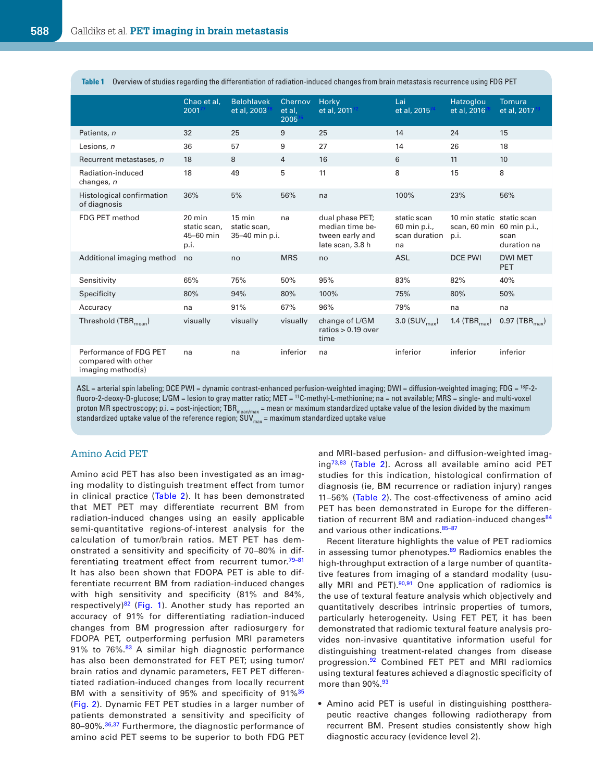| Overview of studies regarding the differentiation of radiation-induced changes from brain metastasis recurrence using FDG PET |                                                       |                                                    |                             |                                                                           |                                                    |                                                    |                                     |
|-------------------------------------------------------------------------------------------------------------------------------|-------------------------------------------------------|----------------------------------------------------|-----------------------------|---------------------------------------------------------------------------|----------------------------------------------------|----------------------------------------------------|-------------------------------------|
|                                                                                                                               | Chao et al.<br>200177                                 | <b>Belohlavek</b><br>et al, 200378                 | Chernov<br>et al.<br>200575 | Horky<br>et al, 201172                                                    | Lai<br>et al, 2015 <sup>74</sup>                   | Hatzoglou<br>et al. 2016 <sup>76</sup>             | Tomura<br>et al, 2017 <sup>73</sup> |
| Patients, n.                                                                                                                  | 32                                                    | 25                                                 | 9 <sup>°</sup>              | 25                                                                        | 14                                                 | 24                                                 | 15                                  |
| Lesions, n                                                                                                                    | 36                                                    | 57                                                 | 9                           | 27                                                                        | 14                                                 | 26                                                 | 18                                  |
| Recurrent metastases, n                                                                                                       | 18                                                    | 8                                                  | $\overline{4}$              | 16                                                                        | 6                                                  | 11                                                 | 10 <sub>1</sub>                     |
| Radiation-induced<br>changes, n                                                                                               | 18                                                    | 49                                                 | 5                           | 11                                                                        | 8                                                  | 15                                                 | 8                                   |
| <b>Histological confirmation</b><br>of diagnosis                                                                              | 36%                                                   | 5%                                                 | 56%                         | na                                                                        | 100%                                               | 23%                                                | 56%                                 |
| FDG PET method                                                                                                                | $20 \text{ min}$<br>static scan.<br>45-60 min<br>p.i. | $15 \text{ min}$<br>static scan,<br>35-40 min p.i. | na                          | dual phase PET;<br>median time be-<br>tween early and<br>late scan, 3.8 h | static scan<br>60 min p.i.,<br>scan duration<br>na | 10 min static<br>scan, 60 min 60 min p.i.,<br>p.i. | static scan<br>scan<br>duration na  |
| <b>Additional imaging method</b>                                                                                              | no                                                    | no                                                 | <b>MRS</b>                  | no                                                                        | <b>ASL</b>                                         | <b>DCE PWI</b>                                     | <b>DWI MET</b><br><b>PET</b>        |
| Sensitivity                                                                                                                   | 65%                                                   | 75%                                                | 50%                         | 95%                                                                       | 83%                                                | 82%                                                | 40%                                 |
| <b>Specificity</b>                                                                                                            | 80%                                                   | 94%                                                | 80%                         | 100%                                                                      | 75%                                                | 80%                                                | 50%                                 |
| Accuracy                                                                                                                      | na                                                    | 91%                                                | 67%                         | 96%                                                                       | 79%                                                | na                                                 | na                                  |
| Threshold (TBR <sub>mean</sub> )                                                                                              | visually                                              | <b>visually</b>                                    | visually                    | change of L/GM<br>ratios $> 0.19$ over<br>time                            | $3.0$ (SUV <sub>max</sub> )                        | $1.4$ (TBR <sub>max</sub> )                        | 0.97(<br>TBR <sub>max</sub>         |
| Performance of FDG PET<br>compared with other<br>imaging method(s)                                                            | na                                                    | na                                                 | inferior                    | na                                                                        | inferior                                           | inferior                                           | inferior                            |

ASL = arterial spin labeling; DCE PWI = dynamic contrast-enhanced perfusion-weighted imaging; DWI = diffusion-weighted imaging; FDG = <sup>18</sup>F-2 fluoro-2-deoxy-D-glucose; L/GM = lesion to gray matter ratio; MET = <sup>11</sup>C-methyl-L-methionine; na = not available; MRS = single- and multi-voxel proton MR spectroscopy; p.i. = post-injection; TBR<sub>mean/max</sub> = mean or maximum standardized uptake value of the lesion divided by the maximum standardized uptake value of the reference region;  $SUV_{\text{max}}$  = maximum standardized uptake value

#### Amino Acid PET

Amino acid PET has also been investigated as an imaging modality to distinguish treatment effect from tumor in clinical practice (Table 2). It has been demonstrated that MET PET may differentiate recurrent BM from radiation-induced changes using an easily applicable semi-quantitative regions-of-interest analysis for the calculation of tumor/brain ratios. MET PET has demonstrated a sensitivity and specificity of 70–80% in differentiating treatment effect from recurrent tumor.<sup>79-81</sup> It has also been shown that FDOPA PET is able to differentiate recurrent BM from radiation-induced changes with high sensitivity and specificity (81% and 84%, respectively)<sup>82</sup> (Fig. 1). Another study has reported an accuracy of 91% for differentiating radiation-induced changes from BM progression after radiosurgery for FDOPA PET, outperforming perfusion MRI parameters 91% to 76%.<sup>83</sup> A similar high diagnostic performance has also been demonstrated for FET PET; using tumor/ brain ratios and dynamic parameters, FET PET differentiated radiation-induced changes from locally recurrent BM with a sensitivity of 95% and specificity of 91%<sup>35</sup> (Fig. 2). Dynamic FET PET studies in a larger number of patients demonstrated a sensitivity and specificity of 80–90%.<sup>36,37</sup> Furthermore, the diagnostic performance of amino acid PET seems to be superior to both FDG PET and MRI-based perfusion- and diffusion-weighted imaging73,83 (Table 2). Across all available amino acid PET studies for this indication, histological confirmation of diagnosis (ie, BM recurrence or radiation injury) ranges 11–56% (Table 2). The cost-effectiveness of amino acid PET has been demonstrated in Europe for the differentiation of recurrent BM and radiation-induced changes<sup>84</sup> and various other indications. 85-87

Recent literature highlights the value of PET radiomics in assessing tumor phenotypes.<sup>89</sup> Radiomics enables the high-throughput extraction of a large number of quantitative features from imaging of a standard modality (usually MRI and PET).<sup>90,91</sup> One application of radiomics is the use of textural feature analysis which objectively and quantitatively describes intrinsic properties of tumors, particularly heterogeneity. Using FET PET, it has been demonstrated that radiomic textural feature analysis provides non-invasive quantitative information useful for distinguishing treatment-related changes from disease progression.<sup>92</sup> Combined FET PET and MRI radiomics using textural features achieved a diagnostic specificity of more than 90%.<sup>93</sup>

• Amino acid PET is useful in distinguishing posttherapeutic reactive changes following radiotherapy from recurrent BM. Present studies consistently show high diagnostic accuracy (evidence level 2).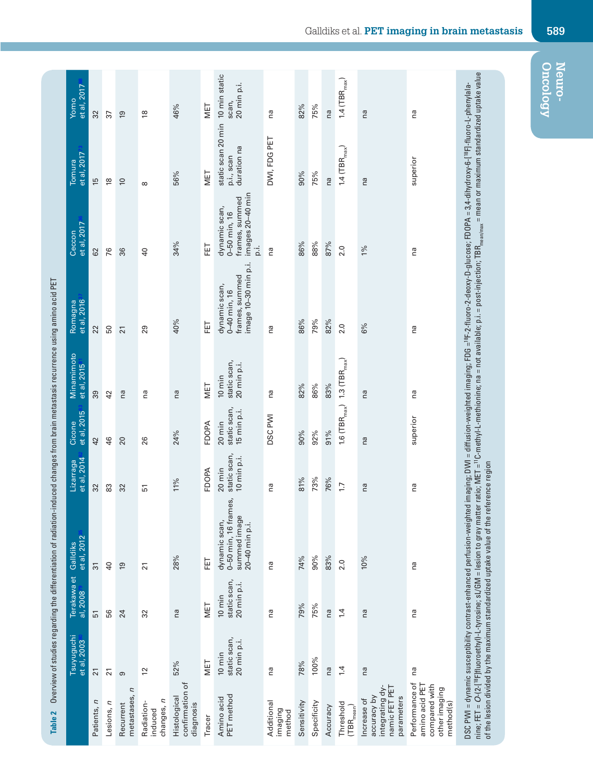|                                                                                 |                                                 |                                                 | Overview of studies regarding the differentiation of radiation-induced changes from brain metastasis recurrence using amino acid PET               |                                                 |                                                           |                                                 |                                                                                                                                                                                                                                                                                                                                                                                                                    |                                                                          |                                                 |                                       |
|---------------------------------------------------------------------------------|-------------------------------------------------|-------------------------------------------------|----------------------------------------------------------------------------------------------------------------------------------------------------|-------------------------------------------------|-----------------------------------------------------------|-------------------------------------------------|--------------------------------------------------------------------------------------------------------------------------------------------------------------------------------------------------------------------------------------------------------------------------------------------------------------------------------------------------------------------------------------------------------------------|--------------------------------------------------------------------------|-------------------------------------------------|---------------------------------------|
|                                                                                 | et al, 2003 <sup>80</sup><br><b>Tsuyuguchi</b>  | Terakawa et<br>al, 2008 <sup>79</sup>           | et al, 2012 <sup>35</sup><br>Galldiks                                                                                                              | et al, 2014 <sup>82</sup><br>Lizarraga          | et al, 2015 <sup>83</sup><br>Cicone                       | Minamimoto<br>et al, 2015 <sup>81</sup>         | et al, 2016 <sup>37</sup><br>Romagna                                                                                                                                                                                                                                                                                                                                                                               | et al, 2017 <sup>36</sup><br>Ceccon                                      | et al, 2017 <sup>73</sup><br>Tomura             | et al, 2017 <sup>88</sup><br>Yomo     |
| atients, n                                                                      | $\overline{\mathbf{N}}$                         | $\overline{5}$                                  | $\frac{1}{\sqrt{2}}$                                                                                                                               | $\frac{1}{2}$                                   | $\frac{4}{2}$                                             | စ္က                                             | $\overline{2}$                                                                                                                                                                                                                                                                                                                                                                                                     | $\overline{c}$                                                           | $\frac{10}{10}$                                 | $\frac{1}{\sqrt{2}}$                  |
| Lesions, n                                                                      | $\overline{21}$                                 | 56                                              | $\overline{a}$                                                                                                                                     | 83                                              | 46                                                        | 42                                              | 50                                                                                                                                                                                                                                                                                                                                                                                                                 | 76                                                                       | $\frac{8}{1}$                                   | 57                                    |
| netastases, n<br>Recurrent                                                      | $\sigma$                                        | $\overline{z}$                                  | $\overline{9}$                                                                                                                                     | $\mathbf{S}$                                    | $\overline{C}$                                            | ΩÓ,                                             | $\overline{\mathbf{N}}$                                                                                                                                                                                                                                                                                                                                                                                            | ၛ                                                                        | $\overline{C}$                                  | $\frac{0}{1}$                         |
| changes, n<br>Radiation-<br>induced                                             | $\overline{c}$                                  | 32                                              | $\overline{21}$                                                                                                                                    | 51                                              | 26                                                        | na                                              | 29                                                                                                                                                                                                                                                                                                                                                                                                                 | $\overline{a}$                                                           | $\infty$                                        | $\frac{8}{1}$                         |
| confirmation of<br><u>Histological</u><br>diagnosis                             | 52%                                             | $\overline{\mathsf{C}}$                         | 28%                                                                                                                                                | 11%                                             | 24%                                                       | $\overline{\mathsf{C}}$                         | 40%                                                                                                                                                                                                                                                                                                                                                                                                                | 34%                                                                      | 56%                                             | 46%                                   |
| Tracer                                                                          | MET                                             | MET                                             | こ                                                                                                                                                  | FDOPA                                           | FDOPA                                                     | MET                                             | 댭                                                                                                                                                                                                                                                                                                                                                                                                                  | 급                                                                        | MET                                             | MET                                   |
| PET method<br>Amino acid                                                        | static scan,<br>20 min p.i.<br>$10 \text{ min}$ | static scan,<br>20 min p.i.<br>$10 \text{ min}$ | တိ<br>0-50 min, 16 frame<br>summed image<br>dynamic scan,<br>$20-40$ min p.i.                                                                      | static scan,<br>10 min p.i.<br>$20 \text{ min}$ | static scan,<br>15 min p.i.<br>20 min                     | static scan,<br>20 min p.i.<br>$10 \text{ min}$ | image 10-30 min p.i.<br>frames, summed<br>dynamic scan,<br>0-40 min, 16                                                                                                                                                                                                                                                                                                                                            | images 20–40 min<br>frames, summed<br>dynamic scan,<br>0-50 min, 16<br>6 | static scan 20 min<br>duration na<br>p.i., scan | 10 min static<br>20 min p.i.<br>scan, |
| Additional<br>imaging<br>method                                                 | na                                              | na                                              | na                                                                                                                                                 | na                                              | <b>DSC PWI</b>                                            | na                                              | na                                                                                                                                                                                                                                                                                                                                                                                                                 | na                                                                       | DWI, FDG PET                                    | na                                    |
| Sensitivity                                                                     | 78%                                             | 79%                                             | 74%                                                                                                                                                | 81%                                             | 90%                                                       | 82%                                             | 86%                                                                                                                                                                                                                                                                                                                                                                                                                | 86%                                                                      | 90%                                             | 82%                                   |
| Specificity<br>Accuracy                                                         | 100%<br>$\overline{\Omega}$                     | 75%<br>$\overline{\Omega}$                      | 90%<br>$\frac{25}{3}$                                                                                                                              | 73%<br>76%                                      | 92%<br>$\frac{26}{9}$                                     | 86%<br>တို့                                     | 79%<br>$82\%$                                                                                                                                                                                                                                                                                                                                                                                                      | 88%<br>87%                                                               | 75%<br>6<br>C                                   | 75%<br>6C                             |
| Threshold<br>$(TBR_{mean})$                                                     | 1.4                                             | 1.4                                             | 2.0                                                                                                                                                | $\overline{1}$                                  | $1.6$ (TBR $_{\text{max}}$ ) $1.3$ (TBR $_{\text{max}}$ ) |                                                 | 2.0                                                                                                                                                                                                                                                                                                                                                                                                                | 2.0                                                                      | 1.4 (TBR $_{\text{max}}$ )                      | 1.4 (TBR $_{\text{max}}$ )            |
| integrating dy<br>namic FET PE<br>accuracy by<br>parameters<br>Increase of      | $\overline{\mathbb{C}}$                         | $\overline{\mathbb{C}}$                         | 10%                                                                                                                                                | $\overline{\mathsf{C}}$                         | ©<br>⊆                                                    | ®<br>∩                                          | 6%                                                                                                                                                                                                                                                                                                                                                                                                                 | 1%                                                                       | $\overline{\mathbb{C}}$                         | ®<br>∩                                |
| Performance of<br>amino acid PET<br>compared with<br>other imaging<br>method(s) | na                                              | na                                              | na                                                                                                                                                 | na                                              | superior                                                  | na                                              | na                                                                                                                                                                                                                                                                                                                                                                                                                 | na                                                                       | superior                                        | na                                    |
|                                                                                 |                                                 |                                                 | DSC PWI = dynamic susceptibility contrast-enhanced perfusion-weighted<br>of the lesion divided by the maximum standardized uptake value of the ref |                                                 |                                                           |                                                 | nine; FET = O-12-[ <sup>18</sup> F]Noroethyl]-L-tyrosine; sL/GM = lesion to gray matter ratio; MET = <sup>10</sup> -methyl-methonine; na = not available; p.i. = post-injection; TBR <sub>matmax</sub> = mean or maximum standardized uptake value,<br>imaging; DWI = diffusion-weighted imaging; FDG = <sup>16</sup> F-2-fluoro-2-deoxy-D-gluoose; FDOPA = 3,4-dihydroxy-6-[ <sup>16</sup> F]-fluoro-L-phenylala- |                                                                          |                                                 |                                       |

**Oncology Neuro-**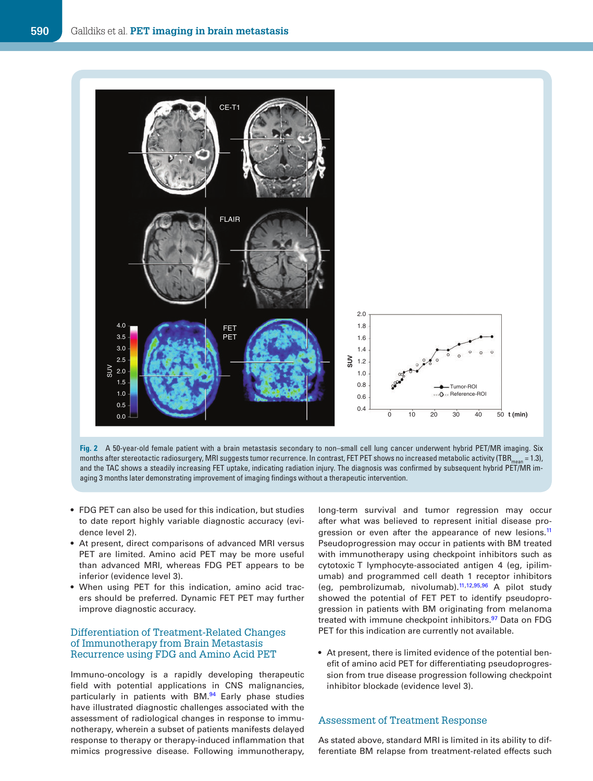

months after stereotactic radiosurgery, MRI suggests tumor recurrence. In contrast, FET PET shows no increased metabolic activity (TBR..... = 1.3), and the TAC shows a steadily increasing FET uptake, indicating radiation injury. The diagnosis was confirmed by subsequent hybrid PET/MR imaging 3 months later demonstrating improvement of imaging findings without a therapeutic intervention.

- FDG PET can also be used for this indication, but studies to date report highly variable diagnostic accuracy (evidence level 2).
- At present, direct comparisons of advanced MRI versus PET are limited. Amino acid PET may be more useful than advanced MRI, whereas FDG PET appears to be inferior (evidence level 3).
- When using PET for this indication, amino acid tracers should be preferred. Dynamic FET PET may further improve diagnostic accuracy.

#### Differentiation of Treatment-Related Changes of Immunotherapy from Brain Metastasis Recurrence using FDG and Amino Acid PET

Immuno-oncology is a rapidly developing therapeutic field with potential applications in CNS malignancies, particularly in patients with BM.<sup>94</sup> Early phase studies have illustrated diagnostic challenges associated with the assessment of radiological changes in response to immunotherapy, wherein a subset of patients manifests delayed response to therapy or therapy-induced inflammation that mimics progressive disease. Following immunotherapy, long-term survival and tumor regression may occur after what was believed to represent initial disease progression or even after the appearance of new lesions.<sup>11</sup> Pseudoprogression may occur in patients with BM treated with immunotherapy using checkpoint inhibitors such as cytotoxic T lymphocyte-associated antigen 4 (eg, ipilimumab) and programmed cell death 1 receptor inhibitors (eg, pembrolizumab, nivolumab). $11,12,95,96$  A pilot study showed the potential of FET PET to identify pseudoprogression in patients with BM originating from melanoma treated with immune checkpoint inhibitors.<sup>97</sup> Data on FDG PET for this indication are currently not available.

• At present, there is limited evidence of the potential benefit of amino acid PET for differentiating pseudoprogression from true disease progression following checkpoint inhibitor blockade (evidence level 3).

#### Assessment of Treatment Response

As stated above, standard MRI is limited in its ability to differentiate BM relapse from treatment-related effects such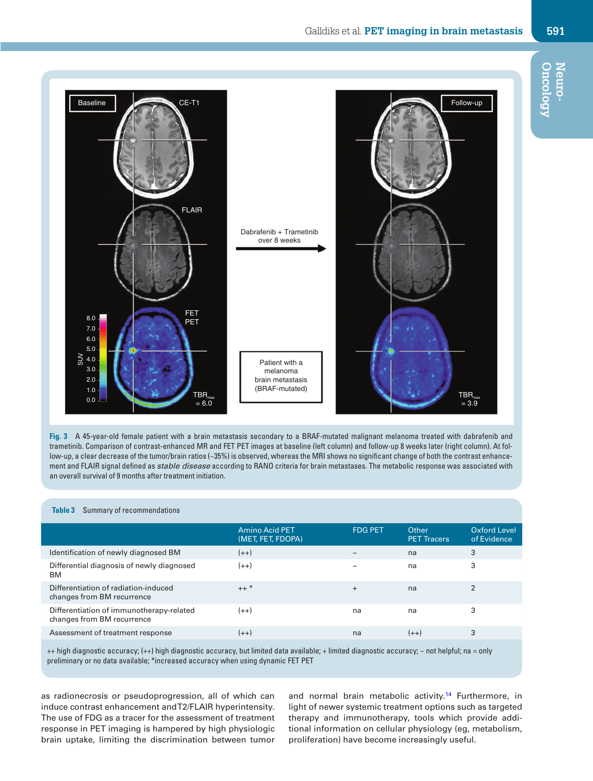### Galldiks et al. **PET imaging in brain metastasis 591**



**Fig. 3** A 45-year-old female patient with a brain metastasis secondary to a BRAF-mutated malignant melanoma treated with dabrafenib and trametinib. Comparison of contrast-enhanced MR and FET PET images at baseline (left column) and follow-up 8 weeks later (right column). At follow-up, a clear decrease of the tumor/brain ratios (−35%) is observed, whereas the MRI shows no significant change of both the contrast enhancement and FLAIR signal defined as stable disease according to RANO criteria for brain metastases. The metabolic response was associated with an overall survival of 9 months after treatment initiation.

| <b>Summary of recommendations</b>                                                                                                          |                                            |                |                             |                             |
|--------------------------------------------------------------------------------------------------------------------------------------------|--------------------------------------------|----------------|-----------------------------|-----------------------------|
|                                                                                                                                            | <b>Amino Acid PET</b><br>(MET, FET, FDOPA) | <b>FDG PET</b> | Other<br><b>PET Tracers</b> | Oxford Level<br>of Evidence |
| <b>Identification of newly diagnosed BM</b>                                                                                                | $(++)$                                     |                | na.                         | 3.                          |
| Differential diagnosis of newly diagnosed<br>BM                                                                                            | $(++)$                                     |                | na                          | 3                           |
| Differentiation of radiation-induced<br>changes from BM recurrence                                                                         | $++$ *                                     | $+$            | na                          | $\mathcal{P}$               |
| Differentiation of immunotherapy-related<br>changes from BM recurrence                                                                     | $(++)$                                     | na             | na                          | 3                           |
| <b>Assessment of treatment response</b>                                                                                                    | $(++)$                                     | na             | $(++)$                      | 3                           |
| uplied disensetie secureary (up) bigh disensetie secureary but limited data available: Ulmited disensetie secureary upot belafulupe - only |                                            |                |                             |                             |

++ high diagnostic accuracy; (++) high diagnostic accuracy, but limited data available; + limited diagnostic accuracy; − not helpful; na = only preliminary or no data available; \*increased accuracy when using dynamic FET PET

as radionecrosis or pseudoprogression, all of which can induce contrast enhancement and T2/FLAIR hyperintensity. The use of FDG as a tracer for the assessment of treatment response in PET imaging is hampered by high physiologic brain uptake, limiting the discrimination between tumor and normal brain metabolic activity.<sup>14</sup> Furthermore, in light of newer systemic treatment options such as targeted therapy and immunotherapy, tools which provide additional information on cellular physiology (eg, metabolism, proliferation) have become increasingly useful.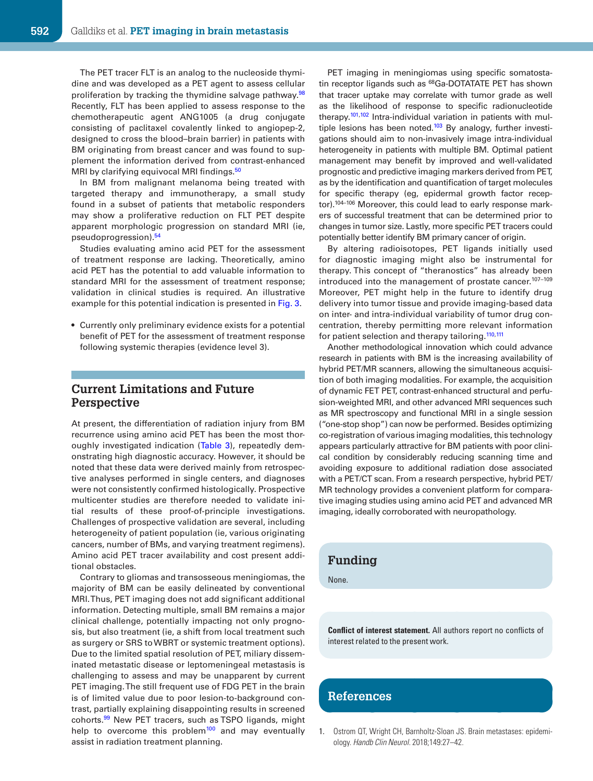The PET tracer FLT is an analog to the nucleoside thymidine and was developed as a PET agent to assess cellular proliferation by tracking the thymidine salvage pathway.<sup>98</sup> Recently, FLT has been applied to assess response to the chemotherapeutic agent ANG1005 (a drug conjugate consisting of paclitaxel covalently linked to angiopep-2, designed to cross the blood–brain barrier) in patients with BM originating from breast cancer and was found to supplement the information derived from contrast-enhanced MRI by clarifying equivocal MRI findings.<sup>50</sup>

In BM from malignant melanoma being treated with targeted therapy and immunotherapy, a small study found in a subset of patients that metabolic responders may show a proliferative reduction on FLT PET despite apparent morphologic progression on standard MRI (ie, pseudoprogression).<sup>54</sup>

Studies evaluating amino acid PET for the assessment of treatment response are lacking. Theoretically, amino acid PET has the potential to add valuable information to standard MRI for the assessment of treatment response; validation in clinical studies is required. An illustrative example for this potential indication is presented in Fig. 3.

• Currently only preliminary evidence exists for a potential benefit of PET for the assessment of treatment response following systemic therapies (evidence level 3).

### **Current Limitations and Future Perspective**

At present, the differentiation of radiation injury from BM recurrence using amino acid PET has been the most thoroughly investigated indication (Table 3), repeatedly demonstrating high diagnostic accuracy. However, it should be noted that these data were derived mainly from retrospective analyses performed in single centers, and diagnoses were not consistently confirmed histologically. Prospective multicenter studies are therefore needed to validate initial results of these proof-of-principle investigations. Challenges of prospective validation are several, including heterogeneity of patient population (ie, various originating cancers, number of BMs, and varying treatment regimens). Amino acid PET tracer availability and cost present additional obstacles.

Contrary to gliomas and transosseous meningiomas, the majority of BM can be easily delineated by conventional MRI. Thus, PET imaging does not add significant additional information. Detecting multiple, small BM remains a major clinical challenge, potentially impacting not only prognosis, but also treatment (ie, a shift from local treatment such as surgery or SRS to WBRT or systemic treatment options). Due to the limited spatial resolution of PET, miliary disseminated metastatic disease or leptomeningeal metastasis is challenging to assess and may be unapparent by current PET imaging. The still frequent use of FDG PET in the brain is of limited value due to poor lesion-to-background contrast, partially explaining disappointing results in screened cohorts.<sup>99</sup> New PET tracers, such as TSPO ligands, might help to overcome this problem $100$  and may eventually assist in radiation treatment planning.

PET imaging in meningiomas using specific somatostatin receptor ligands such as <sup>68</sup>Ga-DOTATATE PET has shown that tracer uptake may correlate with tumor grade as well as the likelihood of response to specific radionucleotide therapy.<sup>101,102</sup> Intra-individual variation in patients with multiple lesions has been noted.<sup>103</sup> By analogy, further investigations should aim to non-invasively image intra-individual heterogeneity in patients with multiple BM. Optimal patient management may benefit by improved and well-validated prognostic and predictive imaging markers derived from PET, as by the identification and quantification of target molecules for specific therapy (eg, epidermal growth factor receptor).<sup>104-106</sup> Moreover, this could lead to early response markers of successful treatment that can be determined prior to changes in tumor size. Lastly, more specific PET tracers could potentially better identify BM primary cancer of origin.

By altering radioisotopes, PET ligands initially used for diagnostic imaging might also be instrumental for therapy. This concept of "theranostics" has already been introduced into the management of prostate cancer.<sup>107-109</sup> Moreover, PET might help in the future to identify drug delivery into tumor tissue and provide imaging-based data on inter- and intra-individual variability of tumor drug concentration, thereby permitting more relevant information for patient selection and therapy tailoring.<sup>110,111</sup>

Another methodological innovation which could advance research in patients with BM is the increasing availability of hybrid PET/MR scanners, allowing the simultaneous acquisition of both imaging modalities. For example, the acquisition of dynamic FET PET, contrast-enhanced structural and perfusion-weighted MRI, and other advanced MRI sequences such as MR spectroscopy and functional MRI in a single session ("one-stop shop") can now be performed. Besides optimizing co-registration of various imaging modalities, this technology appears particularly attractive for BM patients with poor clinical condition by considerably reducing scanning time and avoiding exposure to additional radiation dose associated with a PET/CT scan. From a research perspective, hybrid PET/ MR technology provides a convenient platform for comparative imaging studies using amino acid PET and advanced MR imaging, ideally corroborated with neuropathology.

### **Funding**

None.

**Conflict of interest statement.** All authors report no conflicts of interest related to the present work.

### **References**

1. Ostrom QT, Wright CH, Barnholtz-Sloan JS. Brain metastases: epidemiology. Handb Clin Neurol. 2018;149:27–42.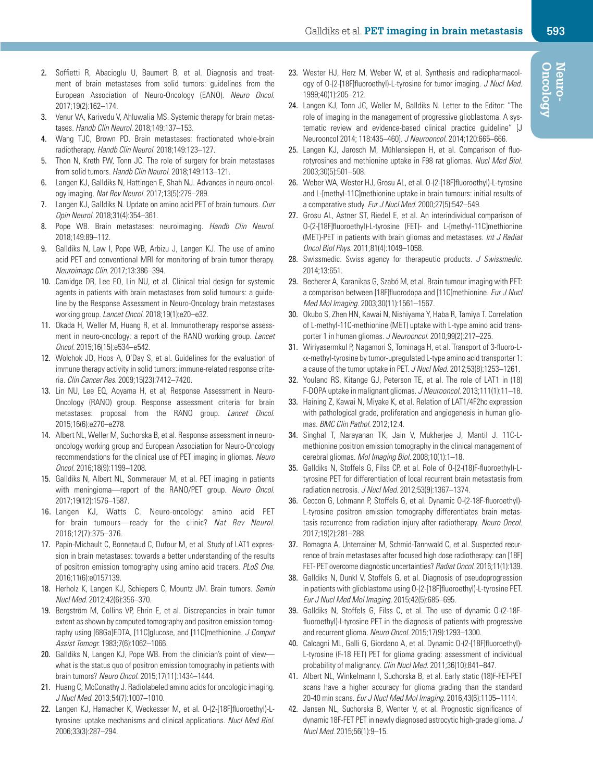- 2. Soffietti R, Abacioglu U, Baumert B, et al. Diagnosis and treatment of brain metastases from solid tumors: guidelines from the European Association of Neuro-Oncology (EANO). Neuro Oncol. 2017;19(2):162–174.
- 3. Venur VA, Karivedu V, Ahluwalia MS. Systemic therapy for brain metastases. Handb Clin Neurol. 2018;149:137–153.
- 4. Wang TJC, Brown PD. Brain metastases: fractionated whole-brain radiotherapy. Handb Clin Neurol. 2018;149:123–127.
- 5. Thon N, Kreth FW, Tonn JC. The role of surgery for brain metastases from solid tumors. Handb Clin Neurol. 2018;149:113-121.
- 6. Langen KJ, Galldiks N, Hattingen E, Shah NJ. Advances in neuro-oncology imaging. Nat Rev Neurol. 2017;13(5):279–289.
- 7. Langen KJ, Galldiks N. Update on amino acid PET of brain tumours. Curr Opin Neurol. 2018;31(4):354–361.
- 8. Pope WB. Brain metastases: neuroimaging. Handb Clin Neurol. 2018;149:89–112.
- 9. Galldiks N, Law I, Pope WB, Arbizu J, Langen KJ. The use of amino acid PET and conventional MRI for monitoring of brain tumor therapy. Neuroimage Clin. 2017;13:386–394.
- 10. Camidge DR, Lee EQ, Lin NU, et al. Clinical trial design for systemic agents in patients with brain metastases from solid tumours: a guideline by the Response Assessment in Neuro-Oncology brain metastases working group. Lancet Oncol. 2018;19(1):e20–e32.
- 11. Okada H, Weller M, Huang R, et al. Immunotherapy response assessment in neuro-oncology: a report of the RANO working group. Lancet Oncol. 2015;16(15):e534–e542.
- 12. Wolchok JD, Hoos A, O'Day S, et al. Guidelines for the evaluation of immune therapy activity in solid tumors: immune-related response criteria. Clin Cancer Res. 2009;15(23):7412–7420.
- 13. Lin NU, Lee EQ, Aoyama H, et al; Response Assessment in Neuro-Oncology (RANO) group. Response assessment criteria for brain metastases: proposal from the RANO group. Lancet Oncol. 2015;16(6):e270–e278.
- 14. Albert NL, Weller M, Suchorska B, et al. Response assessment in neurooncology working group and European Association for Neuro-Oncology recommendations for the clinical use of PET imaging in gliomas. Neuro Oncol. 2016;18(9):1199–1208.
- 15. Galldiks N, Albert NL, Sommerauer M, et al. PET imaging in patients with meningioma—report of the RANO/PET group. Neuro Oncol. 2017;19(12):1576–1587.
- 16. Langen KJ, Watts C. Neuro-oncology: amino acid PET for brain tumours—ready for the clinic? Nat Rev Neurol. 2016;12(7):375–376.
- 17. Papin-Michault C, Bonnetaud C, Dufour M, et al. Study of LAT1 expression in brain metastases: towards a better understanding of the results of positron emission tomography using amino acid tracers. PLoS One. 2016;11(6):e0157139.
- 18. Herholz K, Langen KJ, Schiepers C, Mountz JM. Brain tumors. Semin Nucl Med. 2012;42(6):356–370.
- 19. Bergström M, Collins VP, Ehrin E, et al. Discrepancies in brain tumor extent as shown by computed tomography and positron emission tomography using [68Ga]EDTA, [11C]glucose, and [11C]methionine. J Comput Assist Tomogr. 1983;7(6):1062–1066.
- 20. Galldiks N, Langen KJ, Pope WB. From the clinician's point of view what is the status quo of positron emission tomography in patients with brain tumors? Neuro Oncol. 2015;17(11):1434–1444.
- 21. Huang C, McConathy J. Radiolabeled amino acids for oncologic imaging. J Nucl Med. 2013;54(7):1007–1010.
- 22. Langen KJ, Hamacher K, Weckesser M, et al. O-(2-[18F]fluoroethyl)-Ltyrosine: uptake mechanisms and clinical applications. Nucl Med Biol. 2006;33(3):287–294.
- 23. Wester HJ, Herz M, Weber W, et al. Synthesis and radiopharmacology of O-(2-[18F]fluoroethyl)-L-tyrosine for tumor imaging. J Nucl Med. 1999;40(1):205–212.
- 24. Langen KJ, Tonn JC, Weller M, Galldiks N. Letter to the Editor: "The role of imaging in the management of progressive glioblastoma. A systematic review and evidence-based clinical practice guideline" [J Neurooncol 2014; 118:435–460]. J Neurooncol. 2014;120:665–666.
- 25. Langen KJ, Jarosch M, Mühlensiepen H, et al. Comparison of fluorotyrosines and methionine uptake in F98 rat gliomas. Nucl Med Biol. 2003;30(5):501–508.
- 26. Weber WA, Wester HJ, Grosu AL, et al. O-(2-[18F]fluoroethyl)-L-tyrosine and L-[methyl-11C]methionine uptake in brain tumours: initial results of a comparative study. Eur J Nucl Med. 2000;27(5):542–549.
- 27. Grosu AL, Astner ST, Riedel E, et al. An interindividual comparison of O-(2-[18F]fluoroethyl)-L-tyrosine (FET)- and L-[methyl-11C]methionine (MET)-PET in patients with brain gliomas and metastases. Int J Radiat Oncol Biol Phys. 2011;81(4):1049–1058.
- 28. Swissmedic. Swiss agency for therapeutic products. J Swissmedic. 2014;13:651.
- 29. Becherer A, Karanikas G, Szabó M, et al. Brain tumour imaging with PET: a comparison between [18F]fluorodopa and [11C]methionine. Eur J Nucl Med Mol Imaging. 2003;30(11):1561–1567.
- 30. Okubo S, Zhen HN, Kawai N, Nishiyama Y, Haba R, Tamiya T. Correlation of L-methyl-11C-methionine (MET) uptake with L-type amino acid transporter 1 in human gliomas. J Neurooncol. 2010;99(2):217–225.
- 31. Wiriyasermkul P, Nagamori S, Tominaga H, et al. Transport of 3-fluoro-L- $\alpha$ -methyl-tyrosine by tumor-upregulated L-type amino acid transporter 1: a cause of the tumor uptake in PET. J Nucl Med. 2012;53(8):1253–1261.
- 32. Youland RS, Kitange GJ, Peterson TE, et al. The role of LAT1 in (18) F-DOPA uptake in malignant gliomas. J Neurooncol. 2013;111(1):11–18.
- 33. Haining Z, Kawai N, Miyake K, et al. Relation of LAT1/4F2hc expression with pathological grade, proliferation and angiogenesis in human gliomas. BMC Clin Pathol. 2012;12:4.
- 34. Singhal T, Narayanan TK, Jain V, Mukherjee J, Mantil J. 11C-Lmethionine positron emission tomography in the clinical management of cerebral gliomas. Mol Imaging Biol. 2008;10(1):1–18.
- 35. Galldiks N, Stoffels G, Filss CP, et al. Role of O-(2-(18)F-fluoroethyl)-Ltyrosine PET for differentiation of local recurrent brain metastasis from radiation necrosis. J Nucl Med. 2012;53(9):1367–1374.
- 36. Ceccon G, Lohmann P, Stoffels G, et al. Dynamic O-(2-18F-fluoroethyl)- L-tyrosine positron emission tomography differentiates brain metastasis recurrence from radiation injury after radiotherapy. Neuro Oncol. 2017;19(2):281–288.
- 37. Romagna A, Unterrainer M, Schmid-Tannwald C, et al. Suspected recurrence of brain metastases after focused high dose radiotherapy: can [18F] FET- PET overcome diagnostic uncertainties? Radiat Oncol. 2016;11(1):139.
- 38. Galldiks N, Dunkl V, Stoffels G, et al. Diagnosis of pseudoprogression in patients with glioblastoma using O-(2-[18F]fluoroethyl)-L-tyrosine PET. Eur J Nucl Med Mol Imaging. 2015;42(5):685–695.
- 39. Galldiks N, Stoffels G, Filss C, et al. The use of dynamic O-(2-18Ffluoroethyl)-l-tyrosine PET in the diagnosis of patients with progressive and recurrent glioma. Neuro Oncol. 2015;17(9):1293–1300.
- 40. Calcagni ML, Galli G, Giordano A, et al. Dynamic O-(2-[18F]fluoroethyl)- L-tyrosine (F-18 FET) PET for glioma grading: assessment of individual probability of malignancy. Clin Nucl Med. 2011;36(10):841-847.
- 41. Albert NL, Winkelmann I, Suchorska B, et al. Early static (18)F-FET-PET scans have a higher accuracy for glioma grading than the standard 20-40 min scans. Eur J Nucl Med Mol Imaging. 2016;43(6):1105–1114.
- 42. Jansen NL, Suchorska B, Wenter V, et al. Prognostic significance of dynamic 18F-FET PET in newly diagnosed astrocytic high-grade glioma. J Nucl Med. 2015;56(1):9–15.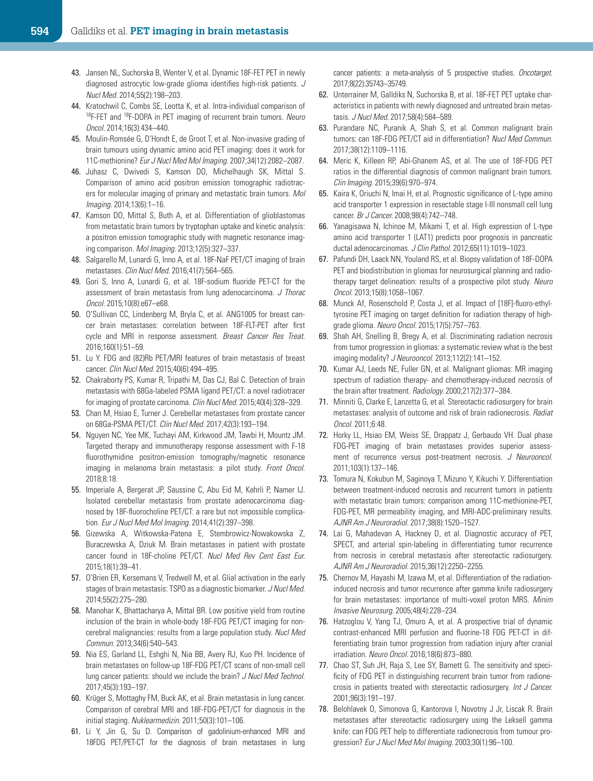- 43. Jansen NL, Suchorska B, Wenter V, et al. Dynamic 18F-FET PET in newly diagnosed astrocytic low-grade glioma identifies high-risk patients. J Nucl Med. 2014;55(2):198–203.
- 44. Kratochwil C, Combs SE, Leotta K, et al. Intra-individual comparison of 18F-FET and 18F-DOPA in PET imaging of recurrent brain tumors. Neuro Oncol. 2014;16(3):434–440.
- 45. Moulin-Romsée G, D'Hondt E, de Groot T, et al. Non-invasive grading of brain tumours using dynamic amino acid PET imaging: does it work for 11C-methionine? Eur J Nucl Med Mol Imaging. 2007;34(12):2082–2087.
- 46. Juhasz C, Dwivedi S, Kamson DO, Michelhaugh SK, Mittal S. Comparison of amino acid positron emission tomographic radiotracers for molecular imaging of primary and metastatic brain tumors. Mol Imaging. 2014;13(6):1–16.
- 47. Kamson DO, Mittal S, Buth A, et al. Differentiation of glioblastomas from metastatic brain tumors by tryptophan uptake and kinetic analysis: a positron emission tomographic study with magnetic resonance imaging comparison. Mol Imaging. 2013;12(5):327–337.
- 48. Salgarello M, Lunardi G, Inno A, et al. 18F-NaF PET/CT imaging of brain metastases. Clin Nucl Med. 2016;41(7):564–565.
- 49. Gori S, Inno A, Lunardi G, et al. 18F-sodium fluoride PET-CT for the assessment of brain metastasis from lung adenocarcinoma. J Thorac Oncol. 2015;10(8):e67–e68.
- 50. O'Sullivan CC, Lindenberg M, Bryla C, et al. ANG1005 for breast cancer brain metastases: correlation between 18F-FLT-PET after first cycle and MRI in response assessment. Breast Cancer Res Treat. 2016;160(1):51–59.
- 51. Lu Y. FDG and (82)Rb PET/MRI features of brain metastasis of breast cancer. Clin Nucl Med. 2015;40(6):494–495.
- 52. Chakraborty PS, Kumar R, Tripathi M, Das CJ, Bal C. Detection of brain metastasis with 68Ga-labeled PSMA ligand PET/CT: a novel radiotracer for imaging of prostate carcinoma. Clin Nucl Med. 2015;40(4):328–329.
- 53. Chan M, Hsiao E, Turner J. Cerebellar metastases from prostate cancer on 68Ga-PSMA PET/CT. Clin Nucl Med. 2017;42(3):193–194.
- 54. Nguyen NC, Yee MK, Tuchayi AM, Kirkwood JM, Tawbi H, Mountz JM. Targeted therapy and immunotherapy response assessment with F-18 fluorothymidine positron-emission tomography/magnetic resonance imaging in melanoma brain metastasis: a pilot study. Front Oncol. 2018;8:18.
- 55. Imperiale A, Bergerat JP, Saussine C, Abu Eid M, Kehrli P, Namer IJ. Isolated cerebellar metastasis from prostate adenocarcinoma diagnosed by 18F-fluorocholine PET/CT: a rare but not impossible complication. Eur J Nucl Med Mol Imaging. 2014;41(2):397–398.
- 56. Gizewska A, Witkowska-Patena E, Stembrowicz-Nowakowska Z, Buraczewska A, Dziuk M. Brain metastases in patient with prostate cancer found in 18F-choline PET/CT. Nucl Med Rev Cent East Eur. 2015;18(1):39–41.
- 57. O'Brien ER, Kersemans V, Tredwell M, et al. Glial activation in the early stages of brain metastasis: TSPO as a diagnostic biomarker. J Nucl Med. 2014;55(2):275–280.
- 58. Manohar K, Bhattacharya A, Mittal BR. Low positive yield from routine inclusion of the brain in whole-body 18F-FDG PET/CT imaging for noncerebral malignancies: results from a large population study. Nucl Med Commun. 2013;34(6):540–543.
- 59. Nia ES, Garland LL, Eshghi N, Nia BB, Avery RJ, Kuo PH. Incidence of brain metastases on follow-up 18F-FDG PET/CT scans of non-small cell lung cancer patients: should we include the brain? J Nucl Med Technol. 2017;45(3):193–197.
- 60. Krüger S, Mottaghy FM, Buck AK, et al. Brain metastasis in lung cancer. Comparison of cerebral MRI and 18F-FDG-PET/CT for diagnosis in the initial staging. Nuklearmedizin. 2011;50(3):101-106.
- 61. Li Y, Jin G, Su D. Comparison of gadolinium-enhanced MRI and 18FDG PET/PET-CT for the diagnosis of brain metastases in lung

cancer patients: a meta-analysis of 5 prospective studies. Oncotarget. 2017;8(22):35743–35749.

- 62. Unterrainer M, Galldiks N, Suchorska B, et al. 18F-FET PET uptake characteristics in patients with newly diagnosed and untreated brain metastasis. J Nucl Med. 2017;58(4):584–589.
- 63. Purandare NC, Puranik A, Shah S, et al. Common malignant brain tumors: can 18F-FDG PET/CT aid in differentiation? Nucl Med Commun. 2017;38(12):1109–1116.
- 64. Meric K, Killeen RP, Abi-Ghanem AS, et al. The use of 18F-FDG PET ratios in the differential diagnosis of common malignant brain tumors. Clin Imaging. 2015;39(6):970–974.
- 65. Kaira K, Oriuchi N, Imai H, et al. Prognostic significance of L-type amino acid transporter 1 expression in resectable stage I-III nonsmall cell lung cancer. Br J Cancer. 2008;98(4):742–748.
- 66. Yanagisawa N, Ichinoe M, Mikami T, et al. High expression of L-type amino acid transporter 1 (LAT1) predicts poor prognosis in pancreatic ductal adenocarcinomas. J Clin Pathol. 2012;65(11):1019-1023.
- 67. Pafundi DH, Laack NN, Youland RS, et al. Biopsy validation of 18F-DOPA PET and biodistribution in gliomas for neurosurgical planning and radiotherapy target delineation: results of a prospective pilot study. Neuro Oncol. 2013;15(8):1058–1067.
- 68. Munck Af, Rosenschold P, Costa J, et al. Impact of [18F]-fluoro-ethyltyrosine PET imaging on target definition for radiation therapy of highgrade glioma. Neuro Oncol. 2015;17(5):757–763.
- 69. Shah AH, Snelling B, Bregy A, et al. Discriminating radiation necrosis from tumor progression in gliomas: a systematic review what is the best imaging modality? *J Neurooncol.* 2013;112(2):141-152.
- 70. Kumar AJ, Leeds NE, Fuller GN, et al. Malignant gliomas: MR imaging spectrum of radiation therapy- and chemotherapy-induced necrosis of the brain after treatment. Radiology. 2000;217(2):377–384.
- 71. Minniti G, Clarke E, Lanzetta G, et al. Stereotactic radiosurgery for brain metastases: analysis of outcome and risk of brain radionecrosis. Radiat Oncol. 2011;6:48.
- 72. Horky LL, Hsiao EM, Weiss SE, Drappatz J, Gerbaudo VH. Dual phase FDG-PET imaging of brain metastases provides superior assessment of recurrence versus post-treatment necrosis. J Neurooncol. 2011;103(1):137–146.
- 73. Tomura N, Kokubun M, Saginoya T, Mizuno Y, Kikuchi Y. Differentiation between treatment-induced necrosis and recurrent tumors in patients with metastatic brain tumors: comparison among 11C-methionine-PET, FDG-PET, MR permeability imaging, and MRI-ADC-preliminary results. AJNR Am J Neuroradiol. 2017;38(8):1520–1527.
- 74. Lai G, Mahadevan A, Hackney D, et al. Diagnostic accuracy of PET, SPECT, and arterial spin-labeling in differentiating tumor recurrence from necrosis in cerebral metastasis after stereotactic radiosurgery. AJNR Am J Neuroradiol. 2015;36(12):2250–2255.
- 75. Chernov M, Hayashi M, Izawa M, et al. Differentiation of the radiationinduced necrosis and tumor recurrence after gamma knife radiosurgery for brain metastases: importance of multi-voxel proton MRS. Minim Invasive Neurosurg. 2005;48(4):228–234.
- 76. Hatzoglou V, Yang TJ, Omuro A, et al. A prospective trial of dynamic contrast-enhanced MRI perfusion and fluorine-18 FDG PET-CT in differentiating brain tumor progression from radiation injury after cranial irradiation. Neuro Oncol. 2016;18(6):873–880.
- 77. Chao ST, Suh JH, Raja S, Lee SY, Barnett G. The sensitivity and specificity of FDG PET in distinguishing recurrent brain tumor from radionecrosis in patients treated with stereotactic radiosurgery. Int J Cancer. 2001;96(3):191–197.
- 78. Belohlavek O, Simonova G, Kantorova I, Novotny J Jr, Liscak R. Brain metastases after stereotactic radiosurgery using the Leksell gamma knife: can FDG PET help to differentiate radionecrosis from tumour progression? Eur J Nucl Med Mol Imaging. 2003;30(1):96–100.